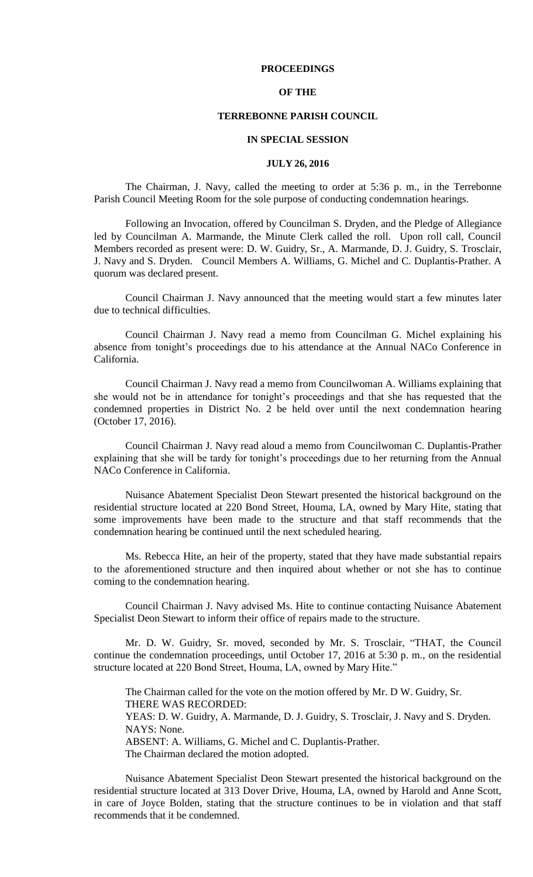## **PROCEEDINGS**

# **OF THE**

## **TERREBONNE PARISH COUNCIL**

### **IN SPECIAL SESSION**

### **JULY 26, 2016**

The Chairman, J. Navy, called the meeting to order at 5:36 p. m., in the Terrebonne Parish Council Meeting Room for the sole purpose of conducting condemnation hearings.

Following an Invocation, offered by Councilman S. Dryden, and the Pledge of Allegiance led by Councilman A. Marmande, the Minute Clerk called the roll. Upon roll call, Council Members recorded as present were: D. W. Guidry, Sr., A. Marmande, D. J. Guidry, S. Trosclair, J. Navy and S. Dryden. Council Members A. Williams, G. Michel and C. Duplantis-Prather. A quorum was declared present.

Council Chairman J. Navy announced that the meeting would start a few minutes later due to technical difficulties.

Council Chairman J. Navy read a memo from Councilman G. Michel explaining his absence from tonight's proceedings due to his attendance at the Annual NACo Conference in California.

Council Chairman J. Navy read a memo from Councilwoman A. Williams explaining that she would not be in attendance for tonight's proceedings and that she has requested that the condemned properties in District No. 2 be held over until the next condemnation hearing (October 17, 2016).

Council Chairman J. Navy read aloud a memo from Councilwoman C. Duplantis-Prather explaining that she will be tardy for tonight's proceedings due to her returning from the Annual NACo Conference in California.

Nuisance Abatement Specialist Deon Stewart presented the historical background on the residential structure located at 220 Bond Street, Houma, LA, owned by Mary Hite, stating that some improvements have been made to the structure and that staff recommends that the condemnation hearing be continued until the next scheduled hearing.

Ms. Rebecca Hite, an heir of the property, stated that they have made substantial repairs to the aforementioned structure and then inquired about whether or not she has to continue coming to the condemnation hearing.

Council Chairman J. Navy advised Ms. Hite to continue contacting Nuisance Abatement Specialist Deon Stewart to inform their office of repairs made to the structure.

Mr. D. W. Guidry, Sr. moved, seconded by Mr. S. Trosclair, "THAT, the Council continue the condemnation proceedings, until October 17, 2016 at 5:30 p. m., on the residential structure located at 220 Bond Street, Houma, LA, owned by Mary Hite."

The Chairman called for the vote on the motion offered by Mr. D W. Guidry, Sr. THERE WAS RECORDED: YEAS: D. W. Guidry, A. Marmande, D. J. Guidry, S. Trosclair, J. Navy and S. Dryden. NAYS: None. ABSENT: A. Williams, G. Michel and C. Duplantis-Prather. The Chairman declared the motion adopted.

Nuisance Abatement Specialist Deon Stewart presented the historical background on the residential structure located at 313 Dover Drive, Houma, LA, owned by Harold and Anne Scott, in care of Joyce Bolden, stating that the structure continues to be in violation and that staff recommends that it be condemned.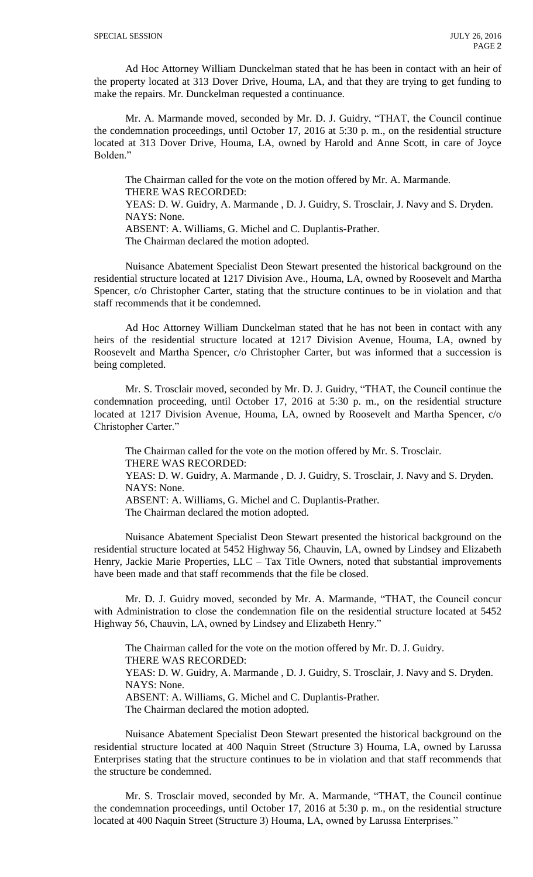Ad Hoc Attorney William Dunckelman stated that he has been in contact with an heir of the property located at 313 Dover Drive, Houma, LA, and that they are trying to get funding to make the repairs. Mr. Dunckelman requested a continuance.

Mr. A. Marmande moved, seconded by Mr. D. J. Guidry, "THAT, the Council continue the condemnation proceedings, until October 17, 2016 at 5:30 p. m., on the residential structure located at 313 Dover Drive, Houma, LA, owned by Harold and Anne Scott, in care of Joyce Bolden."

The Chairman called for the vote on the motion offered by Mr. A. Marmande. THERE WAS RECORDED: YEAS: D. W. Guidry, A. Marmande , D. J. Guidry, S. Trosclair, J. Navy and S. Dryden. NAYS: None.

ABSENT: A. Williams, G. Michel and C. Duplantis-Prather.

The Chairman declared the motion adopted.

Nuisance Abatement Specialist Deon Stewart presented the historical background on the residential structure located at 1217 Division Ave., Houma, LA, owned by Roosevelt and Martha Spencer, c/o Christopher Carter, stating that the structure continues to be in violation and that staff recommends that it be condemned.

Ad Hoc Attorney William Dunckelman stated that he has not been in contact with any heirs of the residential structure located at 1217 Division Avenue, Houma, LA, owned by Roosevelt and Martha Spencer, c/o Christopher Carter, but was informed that a succession is being completed.

Mr. S. Trosclair moved, seconded by Mr. D. J. Guidry, "THAT, the Council continue the condemnation proceeding, until October 17, 2016 at 5:30 p. m., on the residential structure located at 1217 Division Avenue, Houma, LA, owned by Roosevelt and Martha Spencer, c/o Christopher Carter."

The Chairman called for the vote on the motion offered by Mr. S. Trosclair. THERE WAS RECORDED: YEAS: D. W. Guidry, A. Marmande , D. J. Guidry, S. Trosclair, J. Navy and S. Dryden. NAYS: None. ABSENT: A. Williams, G. Michel and C. Duplantis-Prather. The Chairman declared the motion adopted.

Nuisance Abatement Specialist Deon Stewart presented the historical background on the residential structure located at 5452 Highway 56, Chauvin, LA, owned by Lindsey and Elizabeth Henry, Jackie Marie Properties, LLC - Tax Title Owners, noted that substantial improvements have been made and that staff recommends that the file be closed.

Mr. D. J. Guidry moved, seconded by Mr. A. Marmande, "THAT, the Council concur with Administration to close the condemnation file on the residential structure located at 5452 Highway 56, Chauvin, LA, owned by Lindsey and Elizabeth Henry."

The Chairman called for the vote on the motion offered by Mr. D. J. Guidry. THERE WAS RECORDED: YEAS: D. W. Guidry, A. Marmande , D. J. Guidry, S. Trosclair, J. Navy and S. Dryden. NAYS: None. ABSENT: A. Williams, G. Michel and C. Duplantis-Prather. The Chairman declared the motion adopted.

Nuisance Abatement Specialist Deon Stewart presented the historical background on the residential structure located at 400 Naquin Street (Structure 3) Houma, LA, owned by Larussa Enterprises stating that the structure continues to be in violation and that staff recommends that the structure be condemned.

Mr. S. Trosclair moved, seconded by Mr. A. Marmande, "THAT, the Council continue the condemnation proceedings, until October 17, 2016 at 5:30 p. m., on the residential structure located at 400 Naquin Street (Structure 3) Houma, LA, owned by Larussa Enterprises."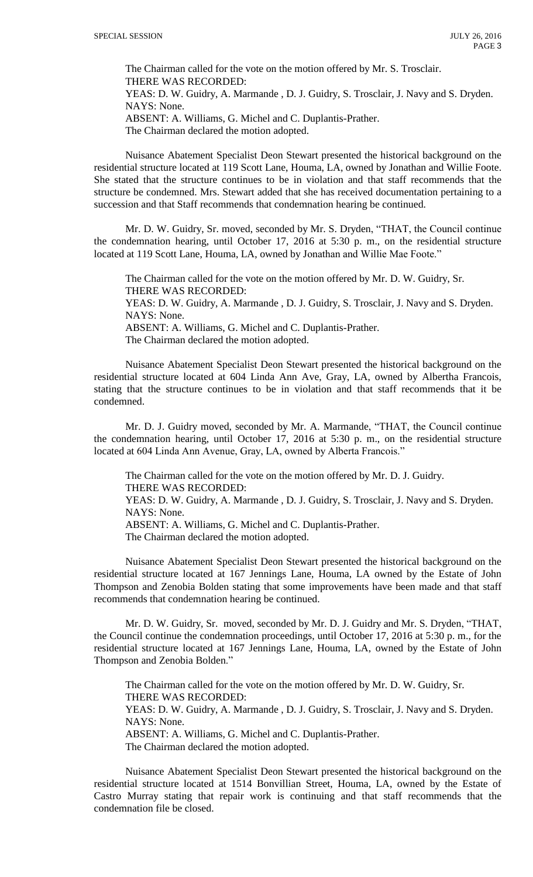The Chairman called for the vote on the motion offered by Mr. S. Trosclair. THERE WAS RECORDED: YEAS: D. W. Guidry, A. Marmande , D. J. Guidry, S. Trosclair, J. Navy and S. Dryden. NAYS: None. ABSENT: A. Williams, G. Michel and C. Duplantis-Prather. The Chairman declared the motion adopted.

Nuisance Abatement Specialist Deon Stewart presented the historical background on the residential structure located at 119 Scott Lane, Houma, LA, owned by Jonathan and Willie Foote. She stated that the structure continues to be in violation and that staff recommends that the structure be condemned. Mrs. Stewart added that she has received documentation pertaining to a succession and that Staff recommends that condemnation hearing be continued.

Mr. D. W. Guidry, Sr. moved, seconded by Mr. S. Dryden, "THAT, the Council continue the condemnation hearing, until October 17, 2016 at 5:30 p. m., on the residential structure located at 119 Scott Lane, Houma, LA, owned by Jonathan and Willie Mae Foote."

The Chairman called for the vote on the motion offered by Mr. D. W. Guidry, Sr. THERE WAS RECORDED:

YEAS: D. W. Guidry, A. Marmande , D. J. Guidry, S. Trosclair, J. Navy and S. Dryden. NAYS: None.

ABSENT: A. Williams, G. Michel and C. Duplantis-Prather.

The Chairman declared the motion adopted.

Nuisance Abatement Specialist Deon Stewart presented the historical background on the residential structure located at 604 Linda Ann Ave, Gray, LA, owned by Albertha Francois, stating that the structure continues to be in violation and that staff recommends that it be condemned.

Mr. D. J. Guidry moved, seconded by Mr. A. Marmande, "THAT, the Council continue the condemnation hearing, until October 17, 2016 at 5:30 p. m., on the residential structure located at 604 Linda Ann Avenue, Gray, LA, owned by Alberta Francois."

The Chairman called for the vote on the motion offered by Mr. D. J. Guidry. THERE WAS RECORDED:

YEAS: D. W. Guidry, A. Marmande , D. J. Guidry, S. Trosclair, J. Navy and S. Dryden. NAYS: None.

ABSENT: A. Williams, G. Michel and C. Duplantis-Prather.

The Chairman declared the motion adopted.

Nuisance Abatement Specialist Deon Stewart presented the historical background on the residential structure located at 167 Jennings Lane, Houma, LA owned by the Estate of John Thompson and Zenobia Bolden stating that some improvements have been made and that staff recommends that condemnation hearing be continued.

Mr. D. W. Guidry, Sr. moved, seconded by Mr. D. J. Guidry and Mr. S. Dryden, "THAT, the Council continue the condemnation proceedings, until October 17, 2016 at 5:30 p. m., for the residential structure located at 167 Jennings Lane, Houma, LA, owned by the Estate of John Thompson and Zenobia Bolden."

The Chairman called for the vote on the motion offered by Mr. D. W. Guidry, Sr. THERE WAS RECORDED: YEAS: D. W. Guidry, A. Marmande , D. J. Guidry, S. Trosclair, J. Navy and S. Dryden. NAYS: None. ABSENT: A. Williams, G. Michel and C. Duplantis-Prather.

The Chairman declared the motion adopted.

Nuisance Abatement Specialist Deon Stewart presented the historical background on the residential structure located at 1514 Bonvillian Street, Houma, LA, owned by the Estate of Castro Murray stating that repair work is continuing and that staff recommends that the condemnation file be closed.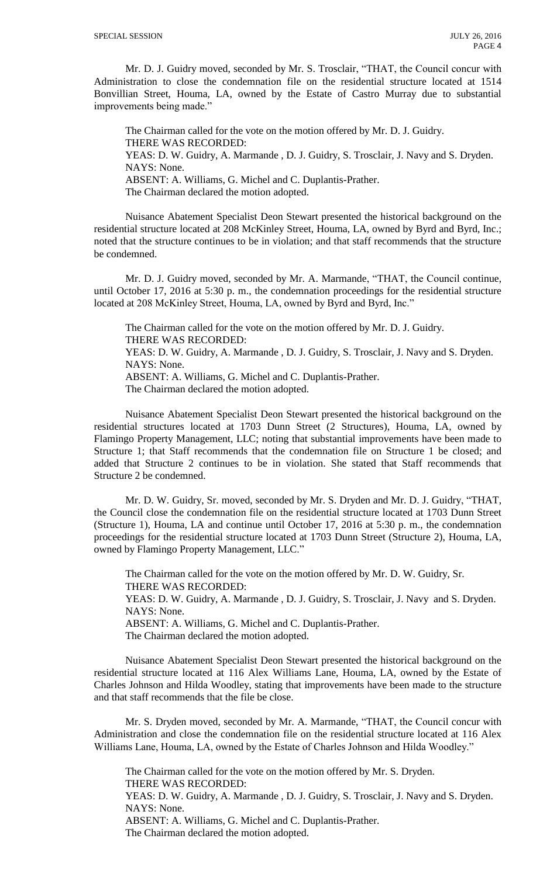Mr. D. J. Guidry moved, seconded by Mr. S. Trosclair, "THAT, the Council concur with Administration to close the condemnation file on the residential structure located at 1514 Bonvillian Street, Houma, LA, owned by the Estate of Castro Murray due to substantial improvements being made."

The Chairman called for the vote on the motion offered by Mr. D. J. Guidry. THERE WAS RECORDED: YEAS: D. W. Guidry, A. Marmande , D. J. Guidry, S. Trosclair, J. Navy and S. Dryden. NAYS: None. ABSENT: A. Williams, G. Michel and C. Duplantis-Prather. The Chairman declared the motion adopted.

Nuisance Abatement Specialist Deon Stewart presented the historical background on the residential structure located at 208 McKinley Street, Houma, LA, owned by Byrd and Byrd, Inc.; noted that the structure continues to be in violation; and that staff recommends that the structure be condemned.

Mr. D. J. Guidry moved, seconded by Mr. A. Marmande, "THAT, the Council continue, until October 17, 2016 at 5:30 p. m., the condemnation proceedings for the residential structure located at 208 McKinley Street, Houma, LA, owned by Byrd and Byrd, Inc."

The Chairman called for the vote on the motion offered by Mr. D. J. Guidry. THERE WAS RECORDED:

YEAS: D. W. Guidry, A. Marmande , D. J. Guidry, S. Trosclair, J. Navy and S. Dryden. NAYS: None.

ABSENT: A. Williams, G. Michel and C. Duplantis-Prather.

The Chairman declared the motion adopted.

Nuisance Abatement Specialist Deon Stewart presented the historical background on the residential structures located at 1703 Dunn Street (2 Structures), Houma, LA, owned by Flamingo Property Management, LLC; noting that substantial improvements have been made to Structure 1; that Staff recommends that the condemnation file on Structure 1 be closed; and added that Structure 2 continues to be in violation. She stated that Staff recommends that Structure 2 be condemned.

Mr. D. W. Guidry, Sr. moved, seconded by Mr. S. Dryden and Mr. D. J. Guidry, "THAT, the Council close the condemnation file on the residential structure located at 1703 Dunn Street (Structure 1), Houma, LA and continue until October 17, 2016 at 5:30 p. m., the condemnation proceedings for the residential structure located at 1703 Dunn Street (Structure 2), Houma, LA, owned by Flamingo Property Management, LLC."

The Chairman called for the vote on the motion offered by Mr. D. W. Guidry, Sr. THERE WAS RECORDED: YEAS: D. W. Guidry, A. Marmande , D. J. Guidry, S. Trosclair, J. Navy and S. Dryden. NAYS: None. ABSENT: A. Williams, G. Michel and C. Duplantis-Prather. The Chairman declared the motion adopted.

Nuisance Abatement Specialist Deon Stewart presented the historical background on the residential structure located at 116 Alex Williams Lane, Houma, LA, owned by the Estate of Charles Johnson and Hilda Woodley, stating that improvements have been made to the structure and that staff recommends that the file be close.

Mr. S. Dryden moved, seconded by Mr. A. Marmande, "THAT, the Council concur with Administration and close the condemnation file on the residential structure located at 116 Alex Williams Lane, Houma, LA, owned by the Estate of Charles Johnson and Hilda Woodley."

The Chairman called for the vote on the motion offered by Mr. S. Dryden. THERE WAS RECORDED: YEAS: D. W. Guidry, A. Marmande , D. J. Guidry, S. Trosclair, J. Navy and S. Dryden. NAYS: None.

ABSENT: A. Williams, G. Michel and C. Duplantis-Prather.

The Chairman declared the motion adopted.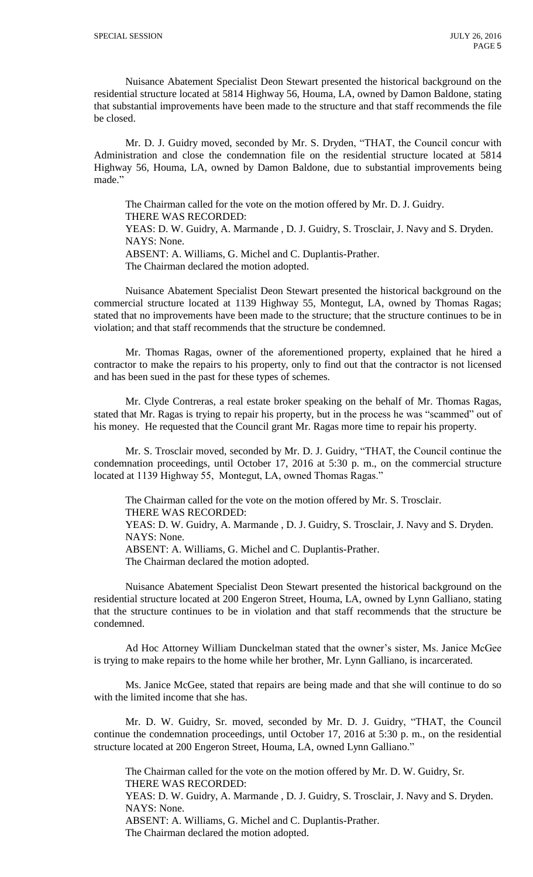Nuisance Abatement Specialist Deon Stewart presented the historical background on the residential structure located at 5814 Highway 56, Houma, LA, owned by Damon Baldone, stating that substantial improvements have been made to the structure and that staff recommends the file be closed.

Mr. D. J. Guidry moved, seconded by Mr. S. Dryden, "THAT, the Council concur with Administration and close the condemnation file on the residential structure located at 5814 Highway 56, Houma, LA, owned by Damon Baldone, due to substantial improvements being made."

The Chairman called for the vote on the motion offered by Mr. D. J. Guidry. THERE WAS RECORDED: YEAS: D. W. Guidry, A. Marmande , D. J. Guidry, S. Trosclair, J. Navy and S. Dryden. NAYS: None. ABSENT: A. Williams, G. Michel and C. Duplantis-Prather. The Chairman declared the motion adopted.

Nuisance Abatement Specialist Deon Stewart presented the historical background on the commercial structure located at 1139 Highway 55, Montegut, LA, owned by Thomas Ragas; stated that no improvements have been made to the structure; that the structure continues to be in violation; and that staff recommends that the structure be condemned.

Mr. Thomas Ragas, owner of the aforementioned property, explained that he hired a contractor to make the repairs to his property, only to find out that the contractor is not licensed and has been sued in the past for these types of schemes.

Mr. Clyde Contreras, a real estate broker speaking on the behalf of Mr. Thomas Ragas, stated that Mr. Ragas is trying to repair his property, but in the process he was "scammed" out of his money. He requested that the Council grant Mr. Ragas more time to repair his property.

Mr. S. Trosclair moved, seconded by Mr. D. J. Guidry, "THAT, the Council continue the condemnation proceedings, until October 17, 2016 at 5:30 p. m., on the commercial structure located at 1139 Highway 55, Montegut, LA, owned Thomas Ragas."

The Chairman called for the vote on the motion offered by Mr. S. Trosclair. THERE WAS RECORDED:

YEAS: D. W. Guidry, A. Marmande , D. J. Guidry, S. Trosclair, J. Navy and S. Dryden. NAYS: None.

ABSENT: A. Williams, G. Michel and C. Duplantis-Prather.

The Chairman declared the motion adopted.

Nuisance Abatement Specialist Deon Stewart presented the historical background on the residential structure located at 200 Engeron Street, Houma, LA, owned by Lynn Galliano, stating that the structure continues to be in violation and that staff recommends that the structure be condemned.

Ad Hoc Attorney William Dunckelman stated that the owner's sister, Ms. Janice McGee is trying to make repairs to the home while her brother, Mr. Lynn Galliano, is incarcerated.

Ms. Janice McGee, stated that repairs are being made and that she will continue to do so with the limited income that she has.

Mr. D. W. Guidry, Sr. moved, seconded by Mr. D. J. Guidry, "THAT, the Council continue the condemnation proceedings, until October 17, 2016 at 5:30 p. m., on the residential structure located at 200 Engeron Street, Houma, LA, owned Lynn Galliano."

The Chairman called for the vote on the motion offered by Mr. D. W. Guidry, Sr. THERE WAS RECORDED:

YEAS: D. W. Guidry, A. Marmande , D. J. Guidry, S. Trosclair, J. Navy and S. Dryden. NAYS: None.

ABSENT: A. Williams, G. Michel and C. Duplantis-Prather.

The Chairman declared the motion adopted.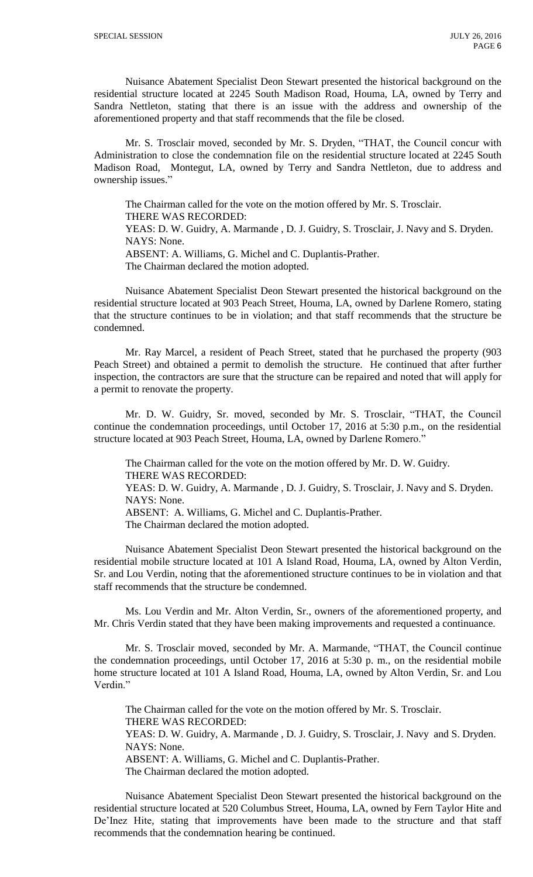Nuisance Abatement Specialist Deon Stewart presented the historical background on the residential structure located at 2245 South Madison Road, Houma, LA, owned by Terry and Sandra Nettleton, stating that there is an issue with the address and ownership of the aforementioned property and that staff recommends that the file be closed.

Mr. S. Trosclair moved, seconded by Mr. S. Dryden, "THAT, the Council concur with Administration to close the condemnation file on the residential structure located at 2245 South Madison Road, Montegut, LA, owned by Terry and Sandra Nettleton, due to address and ownership issues."

The Chairman called for the vote on the motion offered by Mr. S. Trosclair. THERE WAS RECORDED: YEAS: D. W. Guidry, A. Marmande , D. J. Guidry, S. Trosclair, J. Navy and S. Dryden. NAYS: None. ABSENT: A. Williams, G. Michel and C. Duplantis-Prather. The Chairman declared the motion adopted.

Nuisance Abatement Specialist Deon Stewart presented the historical background on the residential structure located at 903 Peach Street, Houma, LA, owned by Darlene Romero, stating that the structure continues to be in violation; and that staff recommends that the structure be condemned.

Mr. Ray Marcel, a resident of Peach Street, stated that he purchased the property (903 Peach Street) and obtained a permit to demolish the structure. He continued that after further inspection, the contractors are sure that the structure can be repaired and noted that will apply for a permit to renovate the property.

Mr. D. W. Guidry, Sr. moved, seconded by Mr. S. Trosclair, "THAT, the Council continue the condemnation proceedings, until October 17, 2016 at 5:30 p.m., on the residential structure located at 903 Peach Street, Houma, LA, owned by Darlene Romero."

The Chairman called for the vote on the motion offered by Mr. D. W. Guidry. THERE WAS RECORDED: YEAS: D. W. Guidry, A. Marmande , D. J. Guidry, S. Trosclair, J. Navy and S. Dryden. NAYS: None.

ABSENT: A. Williams, G. Michel and C. Duplantis-Prather.

The Chairman declared the motion adopted.

Nuisance Abatement Specialist Deon Stewart presented the historical background on the residential mobile structure located at 101 A Island Road, Houma, LA, owned by Alton Verdin, Sr. and Lou Verdin, noting that the aforementioned structure continues to be in violation and that staff recommends that the structure be condemned.

Ms. Lou Verdin and Mr. Alton Verdin, Sr., owners of the aforementioned property, and Mr. Chris Verdin stated that they have been making improvements and requested a continuance.

Mr. S. Trosclair moved, seconded by Mr. A. Marmande, "THAT, the Council continue the condemnation proceedings, until October 17, 2016 at 5:30 p. m., on the residential mobile home structure located at 101 A Island Road, Houma, LA, owned by Alton Verdin, Sr. and Lou Verdin."

The Chairman called for the vote on the motion offered by Mr. S. Trosclair. THERE WAS RECORDED: YEAS: D. W. Guidry, A. Marmande , D. J. Guidry, S. Trosclair, J. Navy and S. Dryden. NAYS: None. ABSENT: A. Williams, G. Michel and C. Duplantis-Prather. The Chairman declared the motion adopted.

Nuisance Abatement Specialist Deon Stewart presented the historical background on the residential structure located at 520 Columbus Street, Houma, LA, owned by Fern Taylor Hite and De'Inez Hite, stating that improvements have been made to the structure and that staff recommends that the condemnation hearing be continued.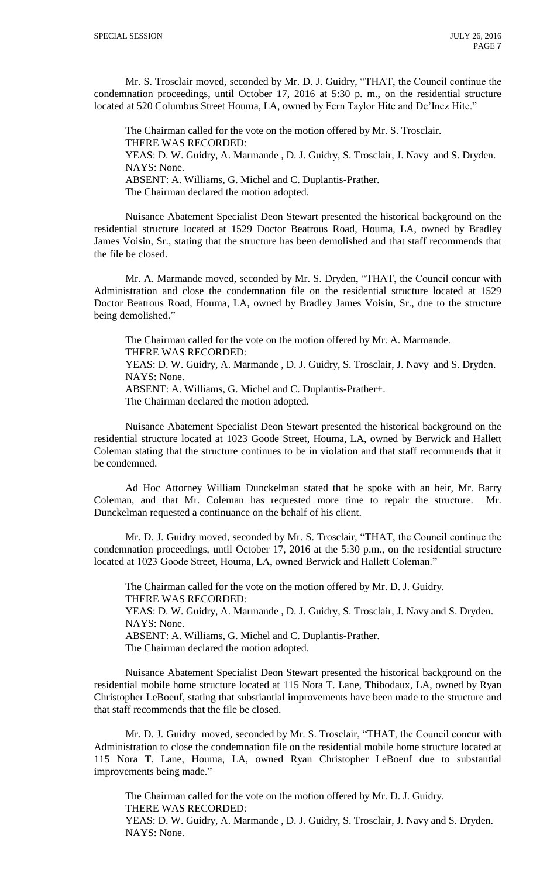Mr. S. Trosclair moved, seconded by Mr. D. J. Guidry, "THAT, the Council continue the condemnation proceedings, until October 17, 2016 at 5:30 p. m., on the residential structure located at 520 Columbus Street Houma, LA, owned by Fern Taylor Hite and De'Inez Hite."

The Chairman called for the vote on the motion offered by Mr. S. Trosclair. THERE WAS RECORDED: YEAS: D. W. Guidry, A. Marmande , D. J. Guidry, S. Trosclair, J. Navy and S. Dryden. NAYS: None. ABSENT: A. Williams, G. Michel and C. Duplantis-Prather. The Chairman declared the motion adopted.

Nuisance Abatement Specialist Deon Stewart presented the historical background on the residential structure located at 1529 Doctor Beatrous Road, Houma, LA, owned by Bradley James Voisin, Sr., stating that the structure has been demolished and that staff recommends that the file be closed.

Mr. A. Marmande moved, seconded by Mr. S. Dryden, "THAT, the Council concur with Administration and close the condemnation file on the residential structure located at 1529 Doctor Beatrous Road, Houma, LA, owned by Bradley James Voisin, Sr., due to the structure being demolished."

The Chairman called for the vote on the motion offered by Mr. A. Marmande. THERE WAS RECORDED: YEAS: D. W. Guidry, A. Marmande , D. J. Guidry, S. Trosclair, J. Navy and S. Dryden. NAYS: None.

ABSENT: A. Williams, G. Michel and C. Duplantis-Prather+.

The Chairman declared the motion adopted.

Nuisance Abatement Specialist Deon Stewart presented the historical background on the residential structure located at 1023 Goode Street, Houma, LA, owned by Berwick and Hallett Coleman stating that the structure continues to be in violation and that staff recommends that it be condemned.

Ad Hoc Attorney William Dunckelman stated that he spoke with an heir, Mr. Barry Coleman, and that Mr. Coleman has requested more time to repair the structure. Mr. Dunckelman requested a continuance on the behalf of his client.

Mr. D. J. Guidry moved, seconded by Mr. S. Trosclair, "THAT, the Council continue the condemnation proceedings, until October 17, 2016 at the 5:30 p.m., on the residential structure located at 1023 Goode Street, Houma, LA, owned Berwick and Hallett Coleman."

The Chairman called for the vote on the motion offered by Mr. D. J. Guidry. THERE WAS RECORDED: YEAS: D. W. Guidry, A. Marmande , D. J. Guidry, S. Trosclair, J. Navy and S. Dryden. NAYS: None. ABSENT: A. Williams, G. Michel and C. Duplantis-Prather. The Chairman declared the motion adopted.

Nuisance Abatement Specialist Deon Stewart presented the historical background on the residential mobile home structure located at 115 Nora T. Lane, Thibodaux, LA, owned by Ryan Christopher LeBoeuf, stating that substiantial improvements have been made to the structure and that staff recommends that the file be closed.

Mr. D. J. Guidry moved, seconded by Mr. S. Trosclair, "THAT, the Council concur with Administration to close the condemnation file on the residential mobile home structure located at 115 Nora T. Lane, Houma, LA, owned Ryan Christopher LeBoeuf due to substantial improvements being made."

The Chairman called for the vote on the motion offered by Mr. D. J. Guidry. THERE WAS RECORDED: YEAS: D. W. Guidry, A. Marmande , D. J. Guidry, S. Trosclair, J. Navy and S. Dryden. NAYS: None.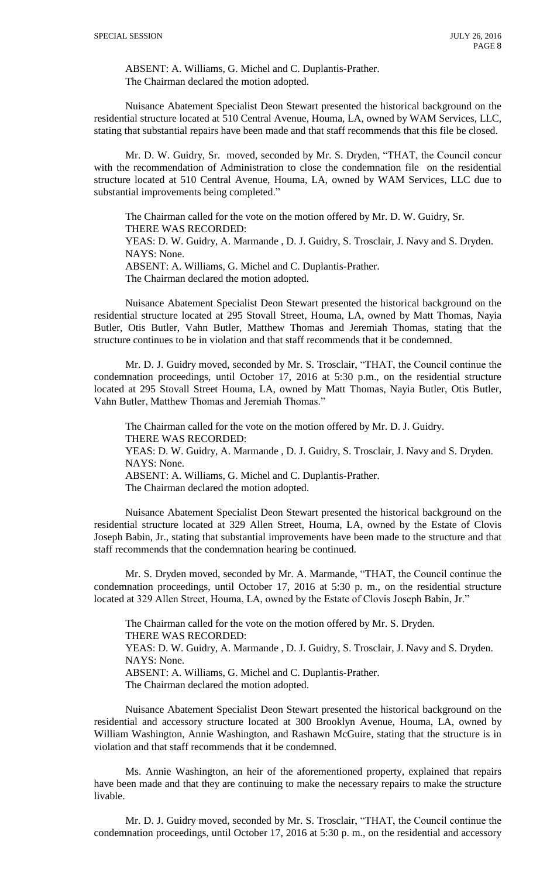ABSENT: A. Williams, G. Michel and C. Duplantis-Prather. The Chairman declared the motion adopted.

Nuisance Abatement Specialist Deon Stewart presented the historical background on the residential structure located at 510 Central Avenue, Houma, LA, owned by WAM Services, LLC, stating that substantial repairs have been made and that staff recommends that this file be closed.

Mr. D. W. Guidry, Sr. moved, seconded by Mr. S. Dryden, "THAT, the Council concur with the recommendation of Administration to close the condemnation file on the residential structure located at 510 Central Avenue, Houma, LA, owned by WAM Services, LLC due to substantial improvements being completed."

The Chairman called for the vote on the motion offered by Mr. D. W. Guidry, Sr. THERE WAS RECORDED: YEAS: D. W. Guidry, A. Marmande , D. J. Guidry, S. Trosclair, J. Navy and S. Dryden. NAYS: None. ABSENT: A. Williams, G. Michel and C. Duplantis-Prather. The Chairman declared the motion adopted.

Nuisance Abatement Specialist Deon Stewart presented the historical background on the residential structure located at 295 Stovall Street, Houma, LA, owned by Matt Thomas, Nayia Butler, Otis Butler, Vahn Butler, Matthew Thomas and Jeremiah Thomas, stating that the structure continues to be in violation and that staff recommends that it be condemned.

Mr. D. J. Guidry moved, seconded by Mr. S. Trosclair, "THAT, the Council continue the condemnation proceedings, until October 17, 2016 at 5:30 p.m., on the residential structure located at 295 Stovall Street Houma, LA, owned by Matt Thomas, Nayia Butler, Otis Butler, Vahn Butler, Matthew Thomas and Jeremiah Thomas."

The Chairman called for the vote on the motion offered by Mr. D. J. Guidry. THERE WAS RECORDED: YEAS: D. W. Guidry, A. Marmande , D. J. Guidry, S. Trosclair, J. Navy and S. Dryden. NAYS: None. ABSENT: A. Williams, G. Michel and C. Duplantis-Prather.

The Chairman declared the motion adopted.

Nuisance Abatement Specialist Deon Stewart presented the historical background on the residential structure located at 329 Allen Street, Houma, LA, owned by the Estate of Clovis Joseph Babin, Jr., stating that substantial improvements have been made to the structure and that staff recommends that the condemnation hearing be continued.

Mr. S. Dryden moved, seconded by Mr. A. Marmande, "THAT, the Council continue the condemnation proceedings, until October 17, 2016 at 5:30 p. m., on the residential structure located at 329 Allen Street, Houma, LA, owned by the Estate of Clovis Joseph Babin, Jr."

The Chairman called for the vote on the motion offered by Mr. S. Dryden. THERE WAS RECORDED: YEAS: D. W. Guidry, A. Marmande , D. J. Guidry, S. Trosclair, J. Navy and S. Dryden. NAYS: None. ABSENT: A. Williams, G. Michel and C. Duplantis-Prather. The Chairman declared the motion adopted.

Nuisance Abatement Specialist Deon Stewart presented the historical background on the residential and accessory structure located at 300 Brooklyn Avenue, Houma, LA, owned by William Washington, Annie Washington, and Rashawn McGuire, stating that the structure is in violation and that staff recommends that it be condemned.

Ms. Annie Washington, an heir of the aforementioned property, explained that repairs have been made and that they are continuing to make the necessary repairs to make the structure livable.

Mr. D. J. Guidry moved, seconded by Mr. S. Trosclair, "THAT, the Council continue the condemnation proceedings, until October 17, 2016 at 5:30 p. m., on the residential and accessory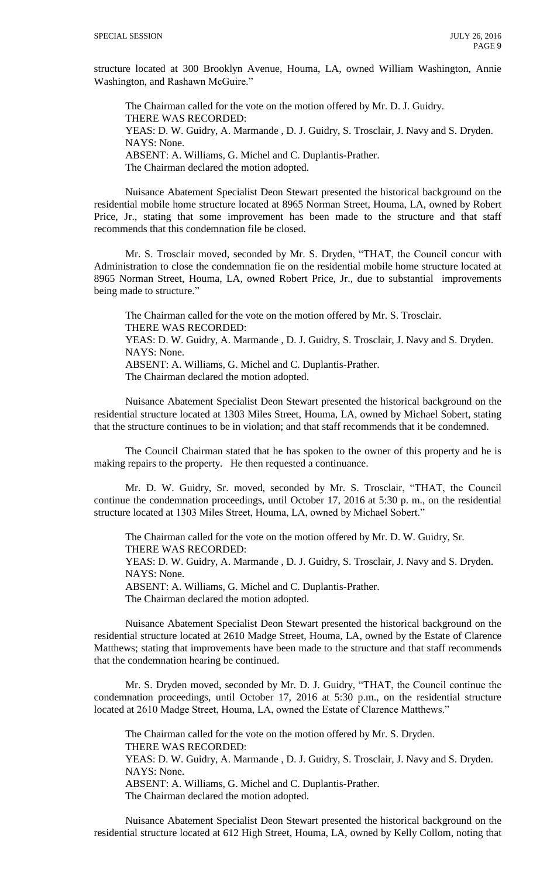structure located at 300 Brooklyn Avenue, Houma, LA, owned William Washington, Annie Washington, and Rashawn McGuire."

The Chairman called for the vote on the motion offered by Mr. D. J. Guidry. THERE WAS RECORDED: YEAS: D. W. Guidry, A. Marmande , D. J. Guidry, S. Trosclair, J. Navy and S. Dryden. NAYS: None. ABSENT: A. Williams, G. Michel and C. Duplantis-Prather. The Chairman declared the motion adopted.

Nuisance Abatement Specialist Deon Stewart presented the historical background on the residential mobile home structure located at 8965 Norman Street, Houma, LA, owned by Robert Price, Jr., stating that some improvement has been made to the structure and that staff recommends that this condemnation file be closed.

Mr. S. Trosclair moved, seconded by Mr. S. Dryden, "THAT, the Council concur with Administration to close the condemnation fie on the residential mobile home structure located at 8965 Norman Street, Houma, LA, owned Robert Price, Jr., due to substantial improvements being made to structure."

The Chairman called for the vote on the motion offered by Mr. S. Trosclair. THERE WAS RECORDED: YEAS: D. W. Guidry, A. Marmande , D. J. Guidry, S. Trosclair, J. Navy and S. Dryden. NAYS: None. ABSENT: A. Williams, G. Michel and C. Duplantis-Prather. The Chairman declared the motion adopted.

Nuisance Abatement Specialist Deon Stewart presented the historical background on the residential structure located at 1303 Miles Street, Houma, LA, owned by Michael Sobert, stating that the structure continues to be in violation; and that staff recommends that it be condemned.

The Council Chairman stated that he has spoken to the owner of this property and he is making repairs to the property. He then requested a continuance.

Mr. D. W. Guidry, Sr. moved, seconded by Mr. S. Trosclair, "THAT, the Council continue the condemnation proceedings, until October 17, 2016 at 5:30 p. m., on the residential structure located at 1303 Miles Street, Houma, LA, owned by Michael Sobert."

The Chairman called for the vote on the motion offered by Mr. D. W. Guidry, Sr. THERE WAS RECORDED:

YEAS: D. W. Guidry, A. Marmande , D. J. Guidry, S. Trosclair, J. Navy and S. Dryden. NAYS: None.

ABSENT: A. Williams, G. Michel and C. Duplantis-Prather.

The Chairman declared the motion adopted.

Nuisance Abatement Specialist Deon Stewart presented the historical background on the residential structure located at 2610 Madge Street, Houma, LA, owned by the Estate of Clarence Matthews; stating that improvements have been made to the structure and that staff recommends that the condemnation hearing be continued.

Mr. S. Dryden moved, seconded by Mr. D. J. Guidry, "THAT, the Council continue the condemnation proceedings, until October 17, 2016 at 5:30 p.m., on the residential structure located at 2610 Madge Street, Houma, LA, owned the Estate of Clarence Matthews."

The Chairman called for the vote on the motion offered by Mr. S. Dryden. THERE WAS RECORDED: YEAS: D. W. Guidry, A. Marmande , D. J. Guidry, S. Trosclair, J. Navy and S. Dryden. NAYS: None. ABSENT: A. Williams, G. Michel and C. Duplantis-Prather. The Chairman declared the motion adopted.

Nuisance Abatement Specialist Deon Stewart presented the historical background on the residential structure located at 612 High Street, Houma, LA, owned by Kelly Collom, noting that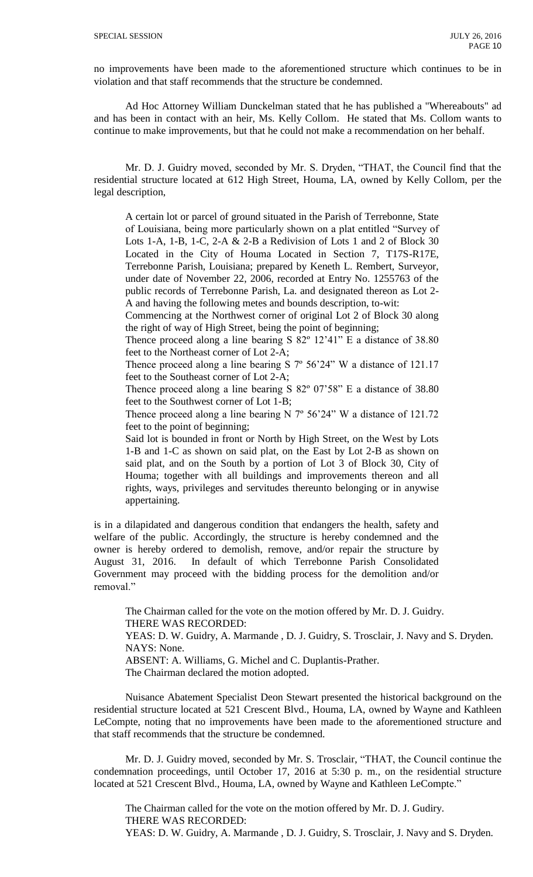no improvements have been made to the aforementioned structure which continues to be in violation and that staff recommends that the structure be condemned.

Ad Hoc Attorney William Dunckelman stated that he has published a "Whereabouts" ad and has been in contact with an heir, Ms. Kelly Collom. He stated that Ms. Collom wants to continue to make improvements, but that he could not make a recommendation on her behalf.

Mr. D. J. Guidry moved, seconded by Mr. S. Dryden, "THAT, the Council find that the residential structure located at 612 High Street, Houma, LA, owned by Kelly Collom, per the legal description,

A certain lot or parcel of ground situated in the Parish of Terrebonne, State of Louisiana, being more particularly shown on a plat entitled "Survey of Lots 1-A, 1-B, 1-C, 2-A  $&$  2-B a Redivision of Lots 1 and 2 of Block 30 Located in the City of Houma Located in Section 7, T17S-R17E, Terrebonne Parish, Louisiana; prepared by Keneth L. Rembert, Surveyor, under date of November 22, 2006, recorded at Entry No. 1255763 of the public records of Terrebonne Parish, La. and designated thereon as Lot 2- A and having the following metes and bounds description, to-wit:

Commencing at the Northwest corner of original Lot 2 of Block 30 along the right of way of High Street, being the point of beginning;

Thence proceed along a line bearing S 82º 12'41" E a distance of 38.80 feet to the Northeast corner of Lot 2-A;

Thence proceed along a line bearing S 7º 56'24" W a distance of 121.17 feet to the Southeast corner of Lot 2-A;

Thence proceed along a line bearing S 82º 07'58" E a distance of 38.80 feet to the Southwest corner of Lot 1-B;

Thence proceed along a line bearing N 7º 56'24" W a distance of 121.72 feet to the point of beginning;

Said lot is bounded in front or North by High Street, on the West by Lots 1-B and 1-C as shown on said plat, on the East by Lot 2-B as shown on said plat, and on the South by a portion of Lot 3 of Block 30, City of Houma; together with all buildings and improvements thereon and all rights, ways, privileges and servitudes thereunto belonging or in anywise appertaining.

is in a dilapidated and dangerous condition that endangers the health, safety and welfare of the public. Accordingly, the structure is hereby condemned and the owner is hereby ordered to demolish, remove, and/or repair the structure by August 31, 2016. In default of which Terrebonne Parish Consolidated Government may proceed with the bidding process for the demolition and/or removal."

The Chairman called for the vote on the motion offered by Mr. D. J. Guidry. THERE WAS RECORDED: YEAS: D. W. Guidry, A. Marmande , D. J. Guidry, S. Trosclair, J. Navy and S. Dryden. NAYS: None. ABSENT: A. Williams, G. Michel and C. Duplantis-Prather. The Chairman declared the motion adopted.

Nuisance Abatement Specialist Deon Stewart presented the historical background on the residential structure located at 521 Crescent Blvd., Houma, LA, owned by Wayne and Kathleen LeCompte, noting that no improvements have been made to the aforementioned structure and that staff recommends that the structure be condemned.

Mr. D. J. Guidry moved, seconded by Mr. S. Trosclair, "THAT, the Council continue the condemnation proceedings, until October 17, 2016 at 5:30 p. m., on the residential structure located at 521 Crescent Blvd., Houma, LA, owned by Wayne and Kathleen LeCompte."

The Chairman called for the vote on the motion offered by Mr. D. J. Gudiry. THERE WAS RECORDED: YEAS: D. W. Guidry, A. Marmande , D. J. Guidry, S. Trosclair, J. Navy and S. Dryden.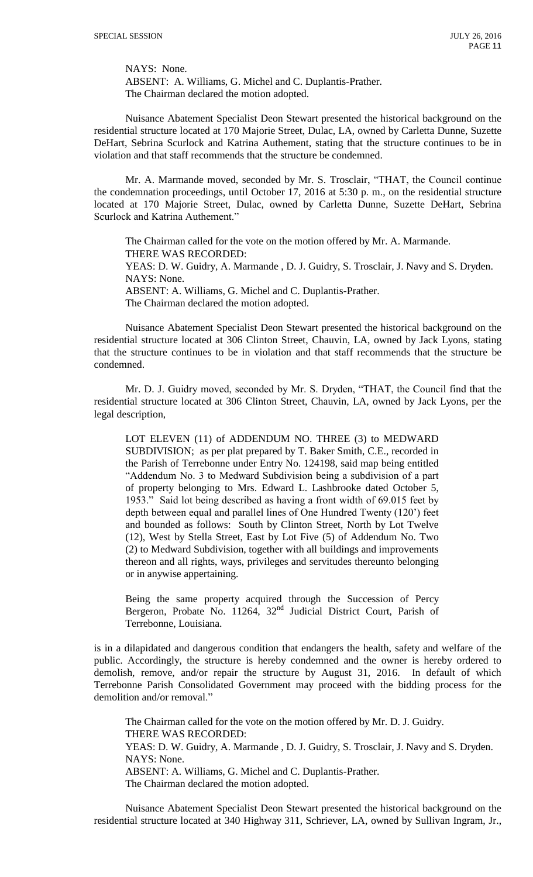NAYS: None.

ABSENT: A. Williams, G. Michel and C. Duplantis-Prather. The Chairman declared the motion adopted.

Nuisance Abatement Specialist Deon Stewart presented the historical background on the residential structure located at 170 Majorie Street, Dulac, LA, owned by Carletta Dunne, Suzette DeHart, Sebrina Scurlock and Katrina Authement, stating that the structure continues to be in violation and that staff recommends that the structure be condemned.

Mr. A. Marmande moved, seconded by Mr. S. Trosclair, "THAT, the Council continue the condemnation proceedings, until October 17, 2016 at 5:30 p. m., on the residential structure located at 170 Majorie Street, Dulac, owned by Carletta Dunne, Suzette DeHart, Sebrina Scurlock and Katrina Authement."

The Chairman called for the vote on the motion offered by Mr. A. Marmande. THERE WAS RECORDED: YEAS: D. W. Guidry, A. Marmande , D. J. Guidry, S. Trosclair, J. Navy and S. Dryden. NAYS: None. ABSENT: A. Williams, G. Michel and C. Duplantis-Prather. The Chairman declared the motion adopted.

Nuisance Abatement Specialist Deon Stewart presented the historical background on the residential structure located at 306 Clinton Street, Chauvin, LA, owned by Jack Lyons, stating that the structure continues to be in violation and that staff recommends that the structure be condemned.

Mr. D. J. Guidry moved, seconded by Mr. S. Dryden, "THAT, the Council find that the residential structure located at 306 Clinton Street, Chauvin, LA, owned by Jack Lyons, per the legal description,

LOT ELEVEN (11) of ADDENDUM NO. THREE (3) to MEDWARD SUBDIVISION; as per plat prepared by T. Baker Smith, C.E., recorded in the Parish of Terrebonne under Entry No. 124198, said map being entitled "Addendum No. 3 to Medward Subdivision being a subdivision of a part of property belonging to Mrs. Edward L. Lashbrooke dated October 5, 1953." Said lot being described as having a front width of 69.015 feet by depth between equal and parallel lines of One Hundred Twenty (120') feet and bounded as follows: South by Clinton Street, North by Lot Twelve (12), West by Stella Street, East by Lot Five (5) of Addendum No. Two (2) to Medward Subdivision, together with all buildings and improvements thereon and all rights, ways, privileges and servitudes thereunto belonging or in anywise appertaining.

Being the same property acquired through the Succession of Percy Bergeron, Probate No. 11264,  $32<sup>nd</sup>$  Judicial District Court, Parish of Terrebonne, Louisiana.

is in a dilapidated and dangerous condition that endangers the health, safety and welfare of the public. Accordingly, the structure is hereby condemned and the owner is hereby ordered to demolish, remove, and/or repair the structure by August 31, 2016. In default of which Terrebonne Parish Consolidated Government may proceed with the bidding process for the demolition and/or removal."

The Chairman called for the vote on the motion offered by Mr. D. J. Guidry. THERE WAS RECORDED: YEAS: D. W. Guidry, A. Marmande , D. J. Guidry, S. Trosclair, J. Navy and S. Dryden. NAYS: None. ABSENT: A. Williams, G. Michel and C. Duplantis-Prather. The Chairman declared the motion adopted.

Nuisance Abatement Specialist Deon Stewart presented the historical background on the residential structure located at 340 Highway 311, Schriever, LA, owned by Sullivan Ingram, Jr.,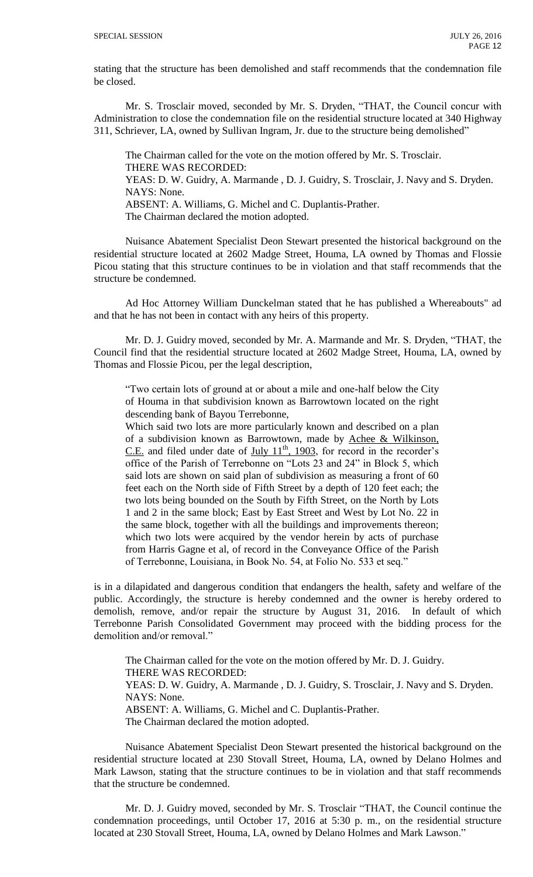stating that the structure has been demolished and staff recommends that the condemnation file be closed.

Mr. S. Trosclair moved, seconded by Mr. S. Dryden, "THAT, the Council concur with Administration to close the condemnation file on the residential structure located at 340 Highway 311, Schriever, LA, owned by Sullivan Ingram, Jr. due to the structure being demolished"

The Chairman called for the vote on the motion offered by Mr. S. Trosclair. THERE WAS RECORDED: YEAS: D. W. Guidry, A. Marmande , D. J. Guidry, S. Trosclair, J. Navy and S. Dryden. NAYS: None. ABSENT: A. Williams, G. Michel and C. Duplantis-Prather. The Chairman declared the motion adopted.

Nuisance Abatement Specialist Deon Stewart presented the historical background on the residential structure located at 2602 Madge Street, Houma, LA owned by Thomas and Flossie Picou stating that this structure continues to be in violation and that staff recommends that the structure be condemned.

Ad Hoc Attorney William Dunckelman stated that he has published a Whereabouts" ad and that he has not been in contact with any heirs of this property.

Mr. D. J. Guidry moved, seconded by Mr. A. Marmande and Mr. S. Dryden, "THAT, the Council find that the residential structure located at 2602 Madge Street, Houma, LA, owned by Thomas and Flossie Picou, per the legal description,

"Two certain lots of ground at or about a mile and one-half below the City of Houma in that subdivision known as Barrowtown located on the right descending bank of Bayou Terrebonne,

Which said two lots are more particularly known and described on a plan of a subdivision known as Barrowtown, made by Achee & Wilkinson, C.E. and filed under date of  $\underline{July 11<sup>th</sup>, 1903}$ , for record in the recorder's office of the Parish of Terrebonne on "Lots 23 and 24" in Block 5, which said lots are shown on said plan of subdivision as measuring a front of 60 feet each on the North side of Fifth Street by a depth of 120 feet each; the two lots being bounded on the South by Fifth Street, on the North by Lots 1 and 2 in the same block; East by East Street and West by Lot No. 22 in the same block, together with all the buildings and improvements thereon; which two lots were acquired by the vendor herein by acts of purchase from Harris Gagne et al, of record in the Conveyance Office of the Parish of Terrebonne, Louisiana, in Book No. 54, at Folio No. 533 et seq."

is in a dilapidated and dangerous condition that endangers the health, safety and welfare of the public. Accordingly, the structure is hereby condemned and the owner is hereby ordered to demolish, remove, and/or repair the structure by August 31, 2016. In default of which Terrebonne Parish Consolidated Government may proceed with the bidding process for the demolition and/or removal."

The Chairman called for the vote on the motion offered by Mr. D. J. Guidry. THERE WAS RECORDED: YEAS: D. W. Guidry, A. Marmande , D. J. Guidry, S. Trosclair, J. Navy and S. Dryden. NAYS: None. ABSENT: A. Williams, G. Michel and C. Duplantis-Prather. The Chairman declared the motion adopted.

Nuisance Abatement Specialist Deon Stewart presented the historical background on the residential structure located at 230 Stovall Street, Houma, LA, owned by Delano Holmes and Mark Lawson, stating that the structure continues to be in violation and that staff recommends that the structure be condemned.

Mr. D. J. Guidry moved, seconded by Mr. S. Trosclair "THAT, the Council continue the condemnation proceedings, until October 17, 2016 at 5:30 p. m., on the residential structure located at 230 Stovall Street, Houma, LA, owned by Delano Holmes and Mark Lawson."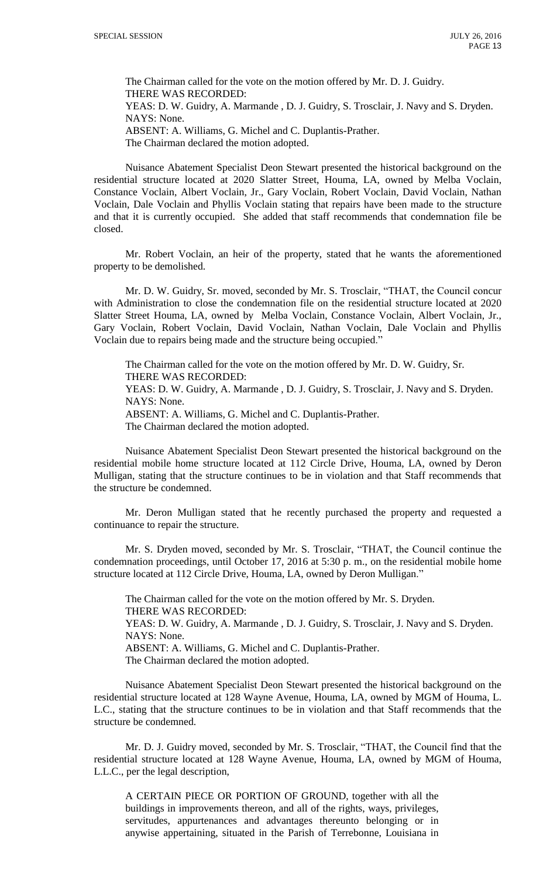The Chairman called for the vote on the motion offered by Mr. D. J. Guidry. THERE WAS RECORDED: YEAS: D. W. Guidry, A. Marmande , D. J. Guidry, S. Trosclair, J. Navy and S. Dryden. NAYS: None. ABSENT: A. Williams, G. Michel and C. Duplantis-Prather. The Chairman declared the motion adopted.

Nuisance Abatement Specialist Deon Stewart presented the historical background on the residential structure located at 2020 Slatter Street, Houma, LA, owned by Melba Voclain, Constance Voclain, Albert Voclain, Jr., Gary Voclain, Robert Voclain, David Voclain, Nathan Voclain, Dale Voclain and Phyllis Voclain stating that repairs have been made to the structure and that it is currently occupied. She added that staff recommends that condemnation file be closed.

Mr. Robert Voclain, an heir of the property, stated that he wants the aforementioned property to be demolished.

Mr. D. W. Guidry, Sr. moved, seconded by Mr. S. Trosclair, "THAT, the Council concur with Administration to close the condemnation file on the residential structure located at 2020 Slatter Street Houma, LA, owned by Melba Voclain, Constance Voclain, Albert Voclain, Jr., Gary Voclain, Robert Voclain, David Voclain, Nathan Voclain, Dale Voclain and Phyllis Voclain due to repairs being made and the structure being occupied."

The Chairman called for the vote on the motion offered by Mr. D. W. Guidry, Sr. THERE WAS RECORDED: YEAS: D. W. Guidry, A. Marmande , D. J. Guidry, S. Trosclair, J. Navy and S. Dryden. NAYS: None. ABSENT: A. Williams, G. Michel and C. Duplantis-Prather. The Chairman declared the motion adopted.

Nuisance Abatement Specialist Deon Stewart presented the historical background on the residential mobile home structure located at 112 Circle Drive, Houma, LA, owned by Deron Mulligan, stating that the structure continues to be in violation and that Staff recommends that the structure be condemned.

Mr. Deron Mulligan stated that he recently purchased the property and requested a continuance to repair the structure.

Mr. S. Dryden moved, seconded by Mr. S. Trosclair, "THAT, the Council continue the condemnation proceedings, until October 17, 2016 at 5:30 p. m., on the residential mobile home structure located at 112 Circle Drive, Houma, LA, owned by Deron Mulligan."

The Chairman called for the vote on the motion offered by Mr. S. Dryden. THERE WAS RECORDED: YEAS: D. W. Guidry, A. Marmande , D. J. Guidry, S. Trosclair, J. Navy and S. Dryden. NAYS: None. ABSENT: A. Williams, G. Michel and C. Duplantis-Prather. The Chairman declared the motion adopted.

Nuisance Abatement Specialist Deon Stewart presented the historical background on the residential structure located at 128 Wayne Avenue, Houma, LA, owned by MGM of Houma, L. L.C., stating that the structure continues to be in violation and that Staff recommends that the structure be condemned.

Mr. D. J. Guidry moved, seconded by Mr. S. Trosclair, "THAT, the Council find that the residential structure located at 128 Wayne Avenue, Houma, LA, owned by MGM of Houma, L.L.C., per the legal description,

A CERTAIN PIECE OR PORTION OF GROUND, together with all the buildings in improvements thereon, and all of the rights, ways, privileges, servitudes, appurtenances and advantages thereunto belonging or in anywise appertaining, situated in the Parish of Terrebonne, Louisiana in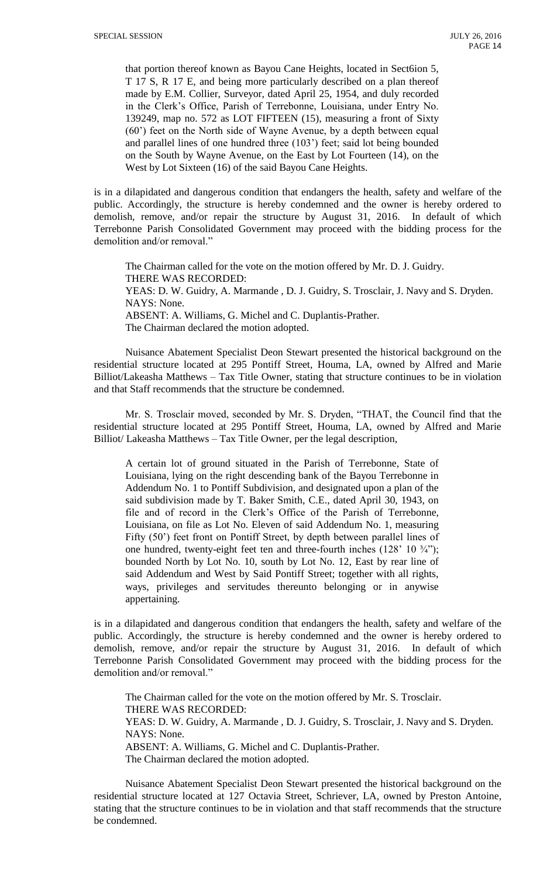that portion thereof known as Bayou Cane Heights, located in Sect6ion 5, T 17 S, R 17 E, and being more particularly described on a plan thereof made by E.M. Collier, Surveyor, dated April 25, 1954, and duly recorded in the Clerk's Office, Parish of Terrebonne, Louisiana, under Entry No. 139249, map no. 572 as LOT FIFTEEN (15), measuring a front of Sixty (60') feet on the North side of Wayne Avenue, by a depth between equal and parallel lines of one hundred three (103') feet; said lot being bounded on the South by Wayne Avenue, on the East by Lot Fourteen (14), on the West by Lot Sixteen (16) of the said Bayou Cane Heights.

is in a dilapidated and dangerous condition that endangers the health, safety and welfare of the public. Accordingly, the structure is hereby condemned and the owner is hereby ordered to demolish, remove, and/or repair the structure by August 31, 2016. In default of which Terrebonne Parish Consolidated Government may proceed with the bidding process for the demolition and/or removal."

The Chairman called for the vote on the motion offered by Mr. D. J. Guidry. THERE WAS RECORDED: YEAS: D. W. Guidry, A. Marmande , D. J. Guidry, S. Trosclair, J. Navy and S. Dryden. NAYS: None. ABSENT: A. Williams, G. Michel and C. Duplantis-Prather. The Chairman declared the motion adopted.

Nuisance Abatement Specialist Deon Stewart presented the historical background on the residential structure located at 295 Pontiff Street, Houma, LA, owned by Alfred and Marie Billiot/Lakeasha Matthews – Tax Title Owner, stating that structure continues to be in violation and that Staff recommends that the structure be condemned.

Mr. S. Trosclair moved, seconded by Mr. S. Dryden, "THAT, the Council find that the residential structure located at 295 Pontiff Street, Houma, LA, owned by Alfred and Marie Billiot/ Lakeasha Matthews – Tax Title Owner, per the legal description,

A certain lot of ground situated in the Parish of Terrebonne, State of Louisiana, lying on the right descending bank of the Bayou Terrebonne in Addendum No. 1 to Pontiff Subdivision, and designated upon a plan of the said subdivision made by T. Baker Smith, C.E., dated April 30, 1943, on file and of record in the Clerk's Office of the Parish of Terrebonne, Louisiana, on file as Lot No. Eleven of said Addendum No. 1, measuring Fifty (50') feet front on Pontiff Street, by depth between parallel lines of one hundred, twenty-eight feet ten and three-fourth inches  $(128' 10 \frac{3}{4})$ ; bounded North by Lot No. 10, south by Lot No. 12, East by rear line of said Addendum and West by Said Pontiff Street; together with all rights, ways, privileges and servitudes thereunto belonging or in anywise appertaining.

is in a dilapidated and dangerous condition that endangers the health, safety and welfare of the public. Accordingly, the structure is hereby condemned and the owner is hereby ordered to demolish, remove, and/or repair the structure by August 31, 2016. In default of which Terrebonne Parish Consolidated Government may proceed with the bidding process for the demolition and/or removal."

The Chairman called for the vote on the motion offered by Mr. S. Trosclair. THERE WAS RECORDED: YEAS: D. W. Guidry, A. Marmande , D. J. Guidry, S. Trosclair, J. Navy and S. Dryden. NAYS: None. ABSENT: A. Williams, G. Michel and C. Duplantis-Prather. The Chairman declared the motion adopted.

Nuisance Abatement Specialist Deon Stewart presented the historical background on the residential structure located at 127 Octavia Street, Schriever, LA, owned by Preston Antoine, stating that the structure continues to be in violation and that staff recommends that the structure be condemned.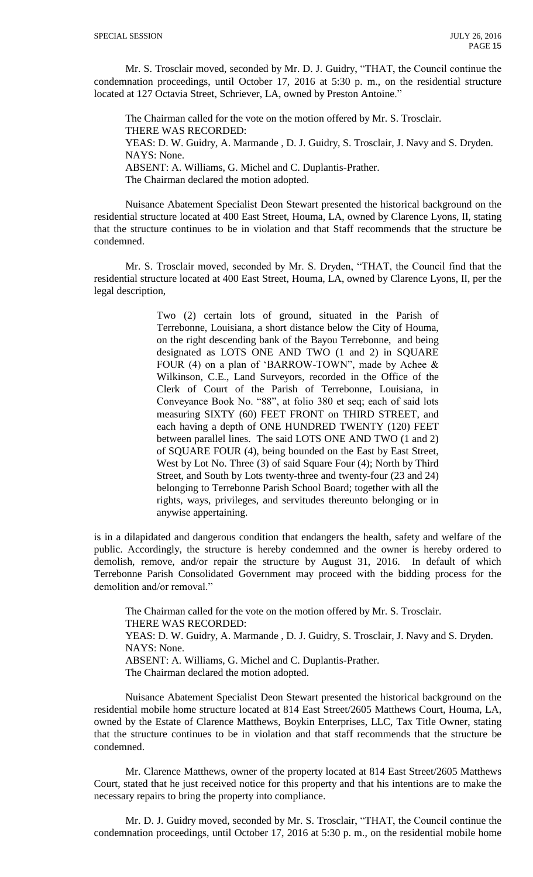Mr. S. Trosclair moved, seconded by Mr. D. J. Guidry, "THAT, the Council continue the condemnation proceedings, until October 17, 2016 at 5:30 p. m., on the residential structure located at 127 Octavia Street, Schriever, LA, owned by Preston Antoine."

The Chairman called for the vote on the motion offered by Mr. S. Trosclair. THERE WAS RECORDED: YEAS: D. W. Guidry, A. Marmande , D. J. Guidry, S. Trosclair, J. Navy and S. Dryden. NAYS: None. ABSENT: A. Williams, G. Michel and C. Duplantis-Prather. The Chairman declared the motion adopted.

Nuisance Abatement Specialist Deon Stewart presented the historical background on the residential structure located at 400 East Street, Houma, LA, owned by Clarence Lyons, II, stating that the structure continues to be in violation and that Staff recommends that the structure be condemned.

Mr. S. Trosclair moved, seconded by Mr. S. Dryden, "THAT, the Council find that the residential structure located at 400 East Street, Houma, LA, owned by Clarence Lyons, II, per the legal description,

> Two (2) certain lots of ground, situated in the Parish of Terrebonne, Louisiana, a short distance below the City of Houma, on the right descending bank of the Bayou Terrebonne, and being designated as LOTS ONE AND TWO (1 and 2) in SQUARE FOUR (4) on a plan of 'BARROW-TOWN", made by Achee & Wilkinson, C.E., Land Surveyors, recorded in the Office of the Clerk of Court of the Parish of Terrebonne, Louisiana, in Conveyance Book No. "88", at folio 380 et seq; each of said lots measuring SIXTY (60) FEET FRONT on THIRD STREET, and each having a depth of ONE HUNDRED TWENTY (120) FEET between parallel lines. The said LOTS ONE AND TWO (1 and 2) of SQUARE FOUR (4), being bounded on the East by East Street, West by Lot No. Three (3) of said Square Four (4); North by Third Street, and South by Lots twenty-three and twenty-four (23 and 24) belonging to Terrebonne Parish School Board; together with all the rights, ways, privileges, and servitudes thereunto belonging or in anywise appertaining.

is in a dilapidated and dangerous condition that endangers the health, safety and welfare of the public. Accordingly, the structure is hereby condemned and the owner is hereby ordered to demolish, remove, and/or repair the structure by August 31, 2016. In default of which Terrebonne Parish Consolidated Government may proceed with the bidding process for the demolition and/or removal."

The Chairman called for the vote on the motion offered by Mr. S. Trosclair. THERE WAS RECORDED: YEAS: D. W. Guidry, A. Marmande , D. J. Guidry, S. Trosclair, J. Navy and S. Dryden. NAYS: None. ABSENT: A. Williams, G. Michel and C. Duplantis-Prather. The Chairman declared the motion adopted.

Nuisance Abatement Specialist Deon Stewart presented the historical background on the residential mobile home structure located at 814 East Street/2605 Matthews Court, Houma, LA, owned by the Estate of Clarence Matthews, Boykin Enterprises, LLC, Tax Title Owner, stating that the structure continues to be in violation and that staff recommends that the structure be condemned.

Mr. Clarence Matthews, owner of the property located at 814 East Street/2605 Matthews Court, stated that he just received notice for this property and that his intentions are to make the necessary repairs to bring the property into compliance.

Mr. D. J. Guidry moved, seconded by Mr. S. Trosclair, "THAT, the Council continue the condemnation proceedings, until October 17, 2016 at 5:30 p. m., on the residential mobile home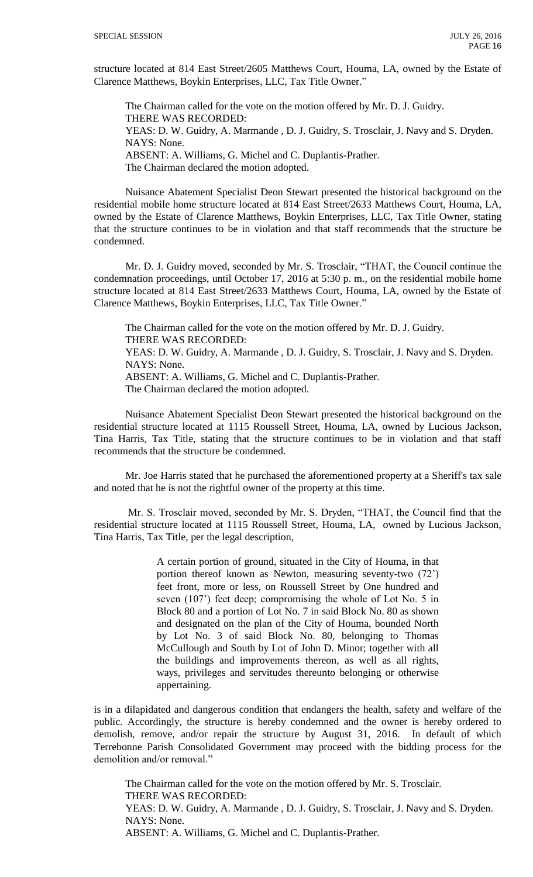structure located at 814 East Street/2605 Matthews Court, Houma, LA, owned by the Estate of Clarence Matthews, Boykin Enterprises, LLC, Tax Title Owner."

The Chairman called for the vote on the motion offered by Mr. D. J. Guidry. THERE WAS RECORDED: YEAS: D. W. Guidry, A. Marmande , D. J. Guidry, S. Trosclair, J. Navy and S. Dryden. NAYS: None. ABSENT: A. Williams, G. Michel and C. Duplantis-Prather. The Chairman declared the motion adopted.

Nuisance Abatement Specialist Deon Stewart presented the historical background on the residential mobile home structure located at 814 East Street/2633 Matthews Court, Houma, LA, owned by the Estate of Clarence Matthews, Boykin Enterprises, LLC, Tax Title Owner, stating that the structure continues to be in violation and that staff recommends that the structure be condemned.

Mr. D. J. Guidry moved, seconded by Mr. S. Trosclair, "THAT, the Council continue the condemnation proceedings, until October 17, 2016 at 5:30 p. m., on the residential mobile home structure located at 814 East Street/2633 Matthews Court, Houma, LA, owned by the Estate of Clarence Matthews, Boykin Enterprises, LLC, Tax Title Owner."

The Chairman called for the vote on the motion offered by Mr. D. J. Guidry. THERE WAS RECORDED: YEAS: D. W. Guidry, A. Marmande , D. J. Guidry, S. Trosclair, J. Navy and S. Dryden. NAYS: None. ABSENT: A. Williams, G. Michel and C. Duplantis-Prather. The Chairman declared the motion adopted.

Nuisance Abatement Specialist Deon Stewart presented the historical background on the residential structure located at 1115 Roussell Street, Houma, LA, owned by Lucious Jackson, Tina Harris, Tax Title, stating that the structure continues to be in violation and that staff recommends that the structure be condemned.

Mr. Joe Harris stated that he purchased the aforementioned property at a Sheriff's tax sale and noted that he is not the rightful owner of the property at this time.

Mr. S. Trosclair moved, seconded by Mr. S. Dryden, "THAT, the Council find that the residential structure located at 1115 Roussell Street, Houma, LA, owned by Lucious Jackson, Tina Harris, Tax Title, per the legal description,

> A certain portion of ground, situated in the City of Houma, in that portion thereof known as Newton, measuring seventy-two (72') feet front, more or less, on Roussell Street by One hundred and seven (107') feet deep; compromising the whole of Lot No. 5 in Block 80 and a portion of Lot No. 7 in said Block No. 80 as shown and designated on the plan of the City of Houma, bounded North by Lot No. 3 of said Block No. 80, belonging to Thomas McCullough and South by Lot of John D. Minor; together with all the buildings and improvements thereon, as well as all rights, ways, privileges and servitudes thereunto belonging or otherwise appertaining.

is in a dilapidated and dangerous condition that endangers the health, safety and welfare of the public. Accordingly, the structure is hereby condemned and the owner is hereby ordered to demolish, remove, and/or repair the structure by August 31, 2016. In default of which Terrebonne Parish Consolidated Government may proceed with the bidding process for the demolition and/or removal."

The Chairman called for the vote on the motion offered by Mr. S. Trosclair. THERE WAS RECORDED: YEAS: D. W. Guidry, A. Marmande , D. J. Guidry, S. Trosclair, J. Navy and S. Dryden. NAYS: None. ABSENT: A. Williams, G. Michel and C. Duplantis-Prather.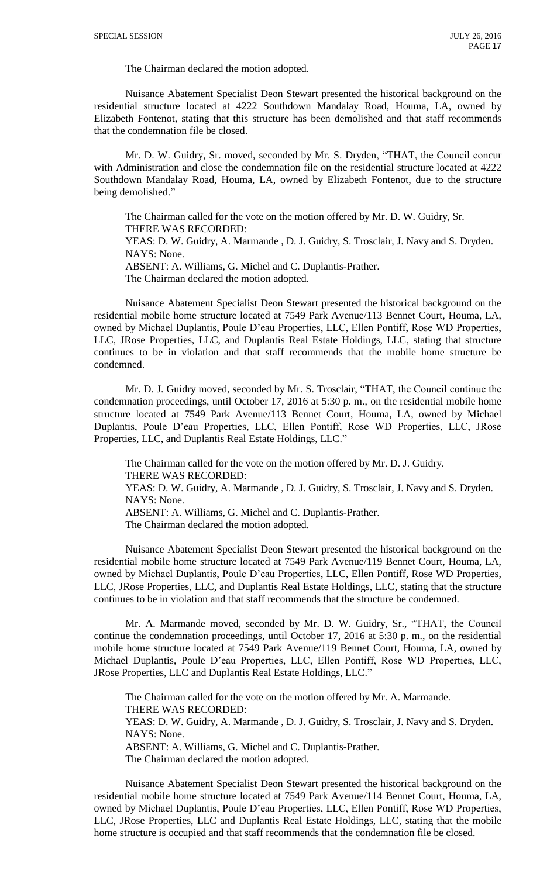The Chairman declared the motion adopted.

Nuisance Abatement Specialist Deon Stewart presented the historical background on the residential structure located at 4222 Southdown Mandalay Road, Houma, LA, owned by Elizabeth Fontenot, stating that this structure has been demolished and that staff recommends that the condemnation file be closed.

Mr. D. W. Guidry, Sr. moved, seconded by Mr. S. Dryden, "THAT, the Council concur with Administration and close the condemnation file on the residential structure located at 4222 Southdown Mandalay Road, Houma, LA, owned by Elizabeth Fontenot, due to the structure being demolished."

The Chairman called for the vote on the motion offered by Mr. D. W. Guidry, Sr. THERE WAS RECORDED: YEAS: D. W. Guidry, A. Marmande , D. J. Guidry, S. Trosclair, J. Navy and S. Dryden. NAYS: None. ABSENT: A. Williams, G. Michel and C. Duplantis-Prather.

The Chairman declared the motion adopted.

Nuisance Abatement Specialist Deon Stewart presented the historical background on the residential mobile home structure located at 7549 Park Avenue/113 Bennet Court, Houma, LA, owned by Michael Duplantis, Poule D'eau Properties, LLC, Ellen Pontiff, Rose WD Properties, LLC, JRose Properties, LLC, and Duplantis Real Estate Holdings, LLC, stating that structure continues to be in violation and that staff recommends that the mobile home structure be condemned.

Mr. D. J. Guidry moved, seconded by Mr. S. Trosclair, "THAT, the Council continue the condemnation proceedings, until October 17, 2016 at 5:30 p. m., on the residential mobile home structure located at 7549 Park Avenue/113 Bennet Court, Houma, LA, owned by Michael Duplantis, Poule D'eau Properties, LLC, Ellen Pontiff, Rose WD Properties, LLC, JRose Properties, LLC, and Duplantis Real Estate Holdings, LLC."

The Chairman called for the vote on the motion offered by Mr. D. J. Guidry. THERE WAS RECORDED:

YEAS: D. W. Guidry, A. Marmande , D. J. Guidry, S. Trosclair, J. Navy and S. Dryden. NAYS: None.

ABSENT: A. Williams, G. Michel and C. Duplantis-Prather.

The Chairman declared the motion adopted.

Nuisance Abatement Specialist Deon Stewart presented the historical background on the residential mobile home structure located at 7549 Park Avenue/119 Bennet Court, Houma, LA, owned by Michael Duplantis, Poule D'eau Properties, LLC, Ellen Pontiff, Rose WD Properties, LLC, JRose Properties, LLC, and Duplantis Real Estate Holdings, LLC, stating that the structure continues to be in violation and that staff recommends that the structure be condemned.

Mr. A. Marmande moved, seconded by Mr. D. W. Guidry, Sr., "THAT, the Council continue the condemnation proceedings, until October 17, 2016 at 5:30 p. m., on the residential mobile home structure located at 7549 Park Avenue/119 Bennet Court, Houma, LA, owned by Michael Duplantis, Poule D'eau Properties, LLC, Ellen Pontiff, Rose WD Properties, LLC, JRose Properties, LLC and Duplantis Real Estate Holdings, LLC."

The Chairman called for the vote on the motion offered by Mr. A. Marmande. THERE WAS RECORDED: YEAS: D. W. Guidry, A. Marmande , D. J. Guidry, S. Trosclair, J. Navy and S. Dryden. NAYS: None. ABSENT: A. Williams, G. Michel and C. Duplantis-Prather. The Chairman declared the motion adopted.

Nuisance Abatement Specialist Deon Stewart presented the historical background on the residential mobile home structure located at 7549 Park Avenue/114 Bennet Court, Houma, LA, owned by Michael Duplantis, Poule D'eau Properties, LLC, Ellen Pontiff, Rose WD Properties, LLC, JRose Properties, LLC and Duplantis Real Estate Holdings, LLC, stating that the mobile home structure is occupied and that staff recommends that the condemnation file be closed.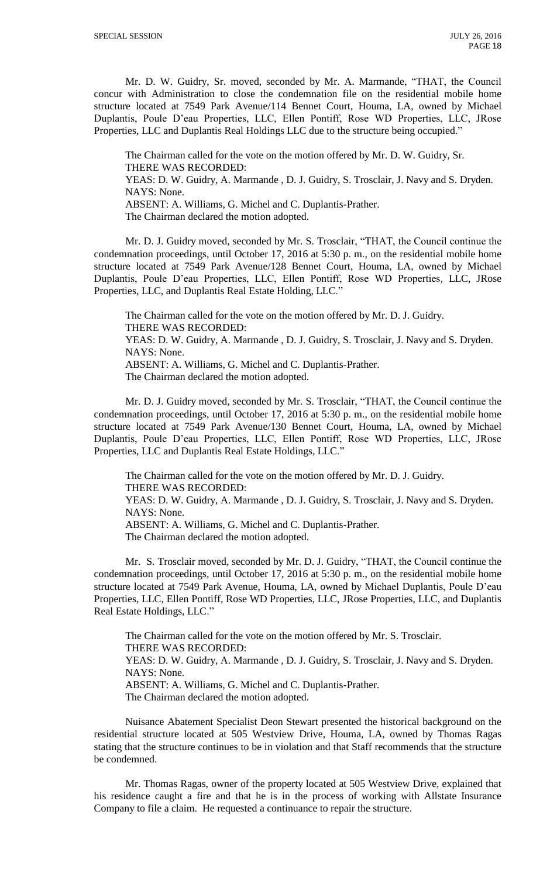Mr. D. W. Guidry, Sr. moved, seconded by Mr. A. Marmande, "THAT, the Council concur with Administration to close the condemnation file on the residential mobile home structure located at 7549 Park Avenue/114 Bennet Court, Houma, LA, owned by Michael Duplantis, Poule D'eau Properties, LLC, Ellen Pontiff, Rose WD Properties, LLC, JRose Properties, LLC and Duplantis Real Holdings LLC due to the structure being occupied."

The Chairman called for the vote on the motion offered by Mr. D. W. Guidry, Sr. THERE WAS RECORDED: YEAS: D. W. Guidry, A. Marmande , D. J. Guidry, S. Trosclair, J. Navy and S. Dryden. NAYS: None. ABSENT: A. Williams, G. Michel and C. Duplantis-Prather. The Chairman declared the motion adopted.

Mr. D. J. Guidry moved, seconded by Mr. S. Trosclair, "THAT, the Council continue the condemnation proceedings, until October 17, 2016 at 5:30 p. m., on the residential mobile home structure located at 7549 Park Avenue/128 Bennet Court, Houma, LA, owned by Michael Duplantis, Poule D'eau Properties, LLC, Ellen Pontiff, Rose WD Properties, LLC, JRose Properties, LLC, and Duplantis Real Estate Holding, LLC."

The Chairman called for the vote on the motion offered by Mr. D. J. Guidry. THERE WAS RECORDED:

YEAS: D. W. Guidry, A. Marmande , D. J. Guidry, S. Trosclair, J. Navy and S. Dryden. NAYS: None.

ABSENT: A. Williams, G. Michel and C. Duplantis-Prather.

The Chairman declared the motion adopted.

Mr. D. J. Guidry moved, seconded by Mr. S. Trosclair, "THAT, the Council continue the condemnation proceedings, until October 17, 2016 at 5:30 p. m., on the residential mobile home structure located at 7549 Park Avenue/130 Bennet Court, Houma, LA, owned by Michael Duplantis, Poule D'eau Properties, LLC, Ellen Pontiff, Rose WD Properties, LLC, JRose Properties, LLC and Duplantis Real Estate Holdings, LLC."

The Chairman called for the vote on the motion offered by Mr. D. J. Guidry. THERE WAS RECORDED: YEAS: D. W. Guidry, A. Marmande , D. J. Guidry, S. Trosclair, J. Navy and S. Dryden.

NAYS: None.

ABSENT: A. Williams, G. Michel and C. Duplantis-Prather.

The Chairman declared the motion adopted.

Mr. S. Trosclair moved, seconded by Mr. D. J. Guidry, "THAT, the Council continue the condemnation proceedings, until October 17, 2016 at 5:30 p. m., on the residential mobile home structure located at 7549 Park Avenue, Houma, LA, owned by Michael Duplantis, Poule D'eau Properties, LLC, Ellen Pontiff, Rose WD Properties, LLC, JRose Properties, LLC, and Duplantis Real Estate Holdings, LLC."

The Chairman called for the vote on the motion offered by Mr. S. Trosclair. THERE WAS RECORDED: YEAS: D. W. Guidry, A. Marmande , D. J. Guidry, S. Trosclair, J. Navy and S. Dryden. NAYS: None. ABSENT: A. Williams, G. Michel and C. Duplantis-Prather. The Chairman declared the motion adopted.

Nuisance Abatement Specialist Deon Stewart presented the historical background on the residential structure located at 505 Westview Drive, Houma, LA, owned by Thomas Ragas stating that the structure continues to be in violation and that Staff recommends that the structure be condemned.

Mr. Thomas Ragas, owner of the property located at 505 Westview Drive, explained that his residence caught a fire and that he is in the process of working with Allstate Insurance Company to file a claim. He requested a continuance to repair the structure.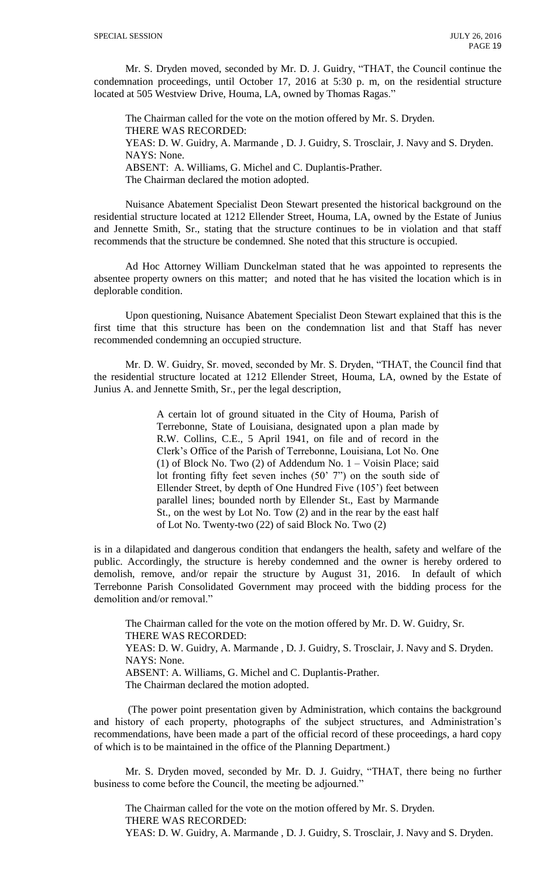Mr. S. Dryden moved, seconded by Mr. D. J. Guidry, "THAT, the Council continue the condemnation proceedings, until October 17, 2016 at 5:30 p. m, on the residential structure located at 505 Westview Drive, Houma, LA, owned by Thomas Ragas."

The Chairman called for the vote on the motion offered by Mr. S. Dryden. THERE WAS RECORDED: YEAS: D. W. Guidry, A. Marmande , D. J. Guidry, S. Trosclair, J. Navy and S. Dryden. NAYS: None. ABSENT: A. Williams, G. Michel and C. Duplantis-Prather. The Chairman declared the motion adopted.

Nuisance Abatement Specialist Deon Stewart presented the historical background on the residential structure located at 1212 Ellender Street, Houma, LA, owned by the Estate of Junius and Jennette Smith, Sr., stating that the structure continues to be in violation and that staff recommends that the structure be condemned. She noted that this structure is occupied.

Ad Hoc Attorney William Dunckelman stated that he was appointed to represents the absentee property owners on this matter; and noted that he has visited the location which is in deplorable condition.

Upon questioning, Nuisance Abatement Specialist Deon Stewart explained that this is the first time that this structure has been on the condemnation list and that Staff has never recommended condemning an occupied structure.

Mr. D. W. Guidry, Sr. moved, seconded by Mr. S. Dryden, "THAT, the Council find that the residential structure located at 1212 Ellender Street, Houma, LA, owned by the Estate of Junius A. and Jennette Smith, Sr., per the legal description,

> A certain lot of ground situated in the City of Houma, Parish of Terrebonne, State of Louisiana, designated upon a plan made by R.W. Collins, C.E., 5 April 1941, on file and of record in the Clerk's Office of the Parish of Terrebonne, Louisiana, Lot No. One (1) of Block No. Two (2) of Addendum No. 1 – Voisin Place; said lot fronting fifty feet seven inches (50' 7") on the south side of Ellender Street, by depth of One Hundred Five (105') feet between parallel lines; bounded north by Ellender St., East by Marmande St., on the west by Lot No. Tow (2) and in the rear by the east half of Lot No. Twenty-two (22) of said Block No. Two (2)

is in a dilapidated and dangerous condition that endangers the health, safety and welfare of the public. Accordingly, the structure is hereby condemned and the owner is hereby ordered to demolish, remove, and/or repair the structure by August 31, 2016. In default of which Terrebonne Parish Consolidated Government may proceed with the bidding process for the demolition and/or removal."

The Chairman called for the vote on the motion offered by Mr. D. W. Guidry, Sr. THERE WAS RECORDED: YEAS: D. W. Guidry, A. Marmande , D. J. Guidry, S. Trosclair, J. Navy and S. Dryden. NAYS: None. ABSENT: A. Williams, G. Michel and C. Duplantis-Prather. The Chairman declared the motion adopted.

(The power point presentation given by Administration, which contains the background and history of each property, photographs of the subject structures, and Administration's recommendations, have been made a part of the official record of these proceedings, a hard copy of which is to be maintained in the office of the Planning Department.)

Mr. S. Dryden moved, seconded by Mr. D. J. Guidry, "THAT, there being no further business to come before the Council, the meeting be adjourned."

The Chairman called for the vote on the motion offered by Mr. S. Dryden. THERE WAS RECORDED: YEAS: D. W. Guidry, A. Marmande , D. J. Guidry, S. Trosclair, J. Navy and S. Dryden.